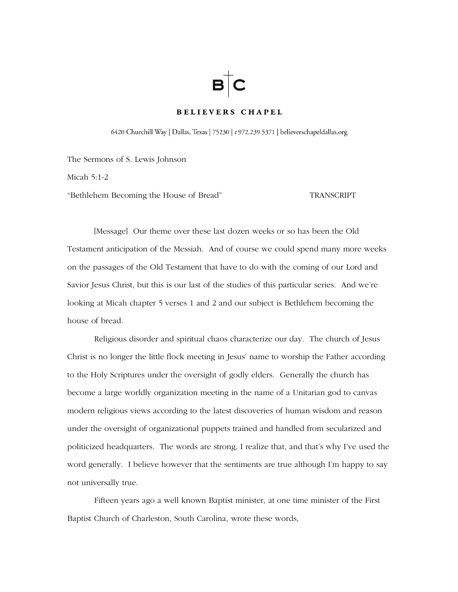# $B$   $C$

## **BELIEVERS CHAPEL**

6420 Churchill Way | Dallas, Texas | 75230 | t 972.239.5371 | believerschapeldallas.org

The Sermons of S. Lewis Johnson

Micah 5:1-2

"Bethlehem Becoming the House of Bread" TRANSCRIPT

 [Message] Our theme over these last dozen weeks or so has been the Old Testament anticipation of the Messiah. And of course we could spend many more weeks on the passages of the Old Testament that have to do with the coming of our Lord and Savior Jesus Christ, but this is our last of the studies of this particular series. And we're looking at Micah chapter 5 verses 1 and 2 and our subject is Bethlehem becoming the house of bread.

 Religious disorder and spiritual chaos characterize our day. The church of Jesus Christ is no longer the little flock meeting in Jesus' name to worship the Father according to the Holy Scriptures under the oversight of godly elders. Generally the church has become a large worldly organization meeting in the name of a Unitarian god to canvas modern religious views according to the latest discoveries of human wisdom and reason under the oversight of organizational puppets trained and handled from secularized and politicized headquarters. The words are strong, I realize that, and that's why I've used the word generally. I believe however that the sentiments are true although I'm happy to say not universally true.

 Fifteen years ago a well known Baptist minister, at one time minister of the First Baptist Church of Charleston, South Carolina, wrote these words,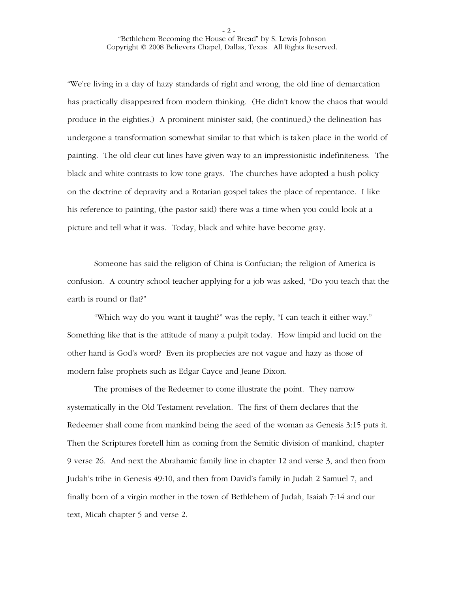"We're living in a day of hazy standards of right and wrong, the old line of demarcation has practically disappeared from modern thinking. (He didn't know the chaos that would produce in the eighties.) A prominent minister said, (he continued,) the delineation has undergone a transformation somewhat similar to that which is taken place in the world of painting. The old clear cut lines have given way to an impressionistic indefiniteness. The black and white contrasts to low tone grays. The churches have adopted a hush policy on the doctrine of depravity and a Rotarian gospel takes the place of repentance. I like his reference to painting, (the pastor said) there was a time when you could look at a picture and tell what it was. Today, black and white have become gray.

 Someone has said the religion of China is Confucian; the religion of America is confusion. A country school teacher applying for a job was asked, "Do you teach that the earth is round or flat?"

 "Which way do you want it taught?" was the reply, "I can teach it either way." Something like that is the attitude of many a pulpit today. How limpid and lucid on the other hand is God's word? Even its prophecies are not vague and hazy as those of modern false prophets such as Edgar Cayce and Jeane Dixon.

 The promises of the Redeemer to come illustrate the point. They narrow systematically in the Old Testament revelation. The first of them declares that the Redeemer shall come from mankind being the seed of the woman as Genesis 3:15 puts it. Then the Scriptures foretell him as coming from the Semitic division of mankind, chapter 9 verse 26. And next the Abrahamic family line in chapter 12 and verse 3, and then from Judah's tribe in Genesis 49:10, and then from David's family in Judah 2 Samuel 7, and finally born of a virgin mother in the town of Bethlehem of Judah, Isaiah 7:14 and our text, Micah chapter 5 and verse 2.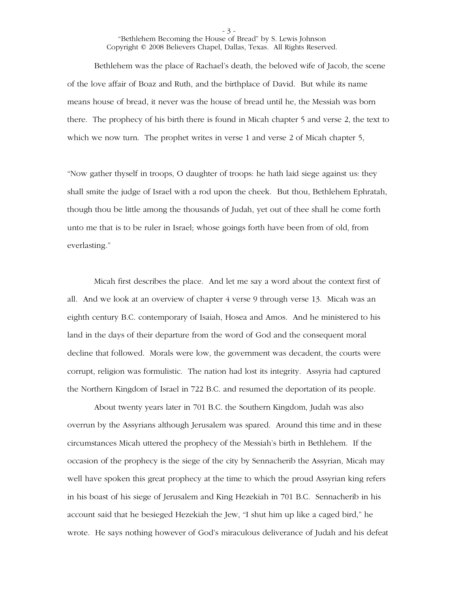- 3 -

 Bethlehem was the place of Rachael's death, the beloved wife of Jacob, the scene of the love affair of Boaz and Ruth, and the birthplace of David. But while its name means house of bread, it never was the house of bread until he, the Messiah was born there. The prophecy of his birth there is found in Micah chapter 5 and verse 2, the text to which we now turn. The prophet writes in verse 1 and verse 2 of Micah chapter 5,

"Now gather thyself in troops, O daughter of troops: he hath laid siege against us: they shall smite the judge of Israel with a rod upon the cheek. But thou, Bethlehem Ephratah, though thou be little among the thousands of Judah, yet out of thee shall he come forth unto me that is to be ruler in Israel; whose goings forth have been from of old, from everlasting."

 Micah first describes the place. And let me say a word about the context first of all. And we look at an overview of chapter 4 verse 9 through verse 13. Micah was an eighth century B.C. contemporary of Isaiah, Hosea and Amos. And he ministered to his land in the days of their departure from the word of God and the consequent moral decline that followed. Morals were low, the government was decadent, the courts were corrupt, religion was formulistic. The nation had lost its integrity. Assyria had captured the Northern Kingdom of Israel in 722 B.C. and resumed the deportation of its people.

 About twenty years later in 701 B.C. the Southern Kingdom, Judah was also overrun by the Assyrians although Jerusalem was spared. Around this time and in these circumstances Micah uttered the prophecy of the Messiah's birth in Bethlehem. If the occasion of the prophecy is the siege of the city by Sennacherib the Assyrian, Micah may well have spoken this great prophecy at the time to which the proud Assyrian king refers in his boast of his siege of Jerusalem and King Hezekiah in 701 B.C. Sennacherib in his account said that he besieged Hezekiah the Jew, "I shut him up like a caged bird," he wrote. He says nothing however of God's miraculous deliverance of Judah and his defeat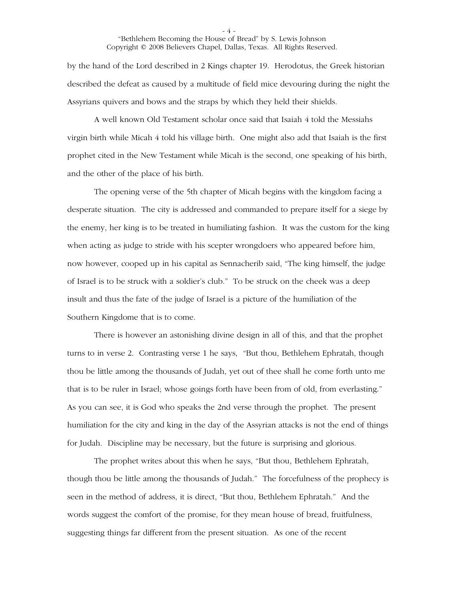by the hand of the Lord described in 2 Kings chapter 19. Herodotus, the Greek historian described the defeat as caused by a multitude of field mice devouring during the night the Assyrians quivers and bows and the straps by which they held their shields.

 A well known Old Testament scholar once said that Isaiah 4 told the Messiahs virgin birth while Micah 4 told his village birth. One might also add that Isaiah is the first prophet cited in the New Testament while Micah is the second, one speaking of his birth, and the other of the place of his birth.

 The opening verse of the 5th chapter of Micah begins with the kingdom facing a desperate situation. The city is addressed and commanded to prepare itself for a siege by the enemy, her king is to be treated in humiliating fashion. It was the custom for the king when acting as judge to stride with his scepter wrongdoers who appeared before him, now however, cooped up in his capital as Sennacherib said, "The king himself, the judge of Israel is to be struck with a soldier's club." To be struck on the cheek was a deep insult and thus the fate of the judge of Israel is a picture of the humiliation of the Southern Kingdome that is to come.

 There is however an astonishing divine design in all of this, and that the prophet turns to in verse 2. Contrasting verse 1 he says, "But thou, Bethlehem Ephratah, though thou be little among the thousands of Judah, yet out of thee shall he come forth unto me that is to be ruler in Israel; whose goings forth have been from of old, from everlasting." As you can see, it is God who speaks the 2nd verse through the prophet. The present humiliation for the city and king in the day of the Assyrian attacks is not the end of things for Judah. Discipline may be necessary, but the future is surprising and glorious.

 The prophet writes about this when he says, "But thou, Bethlehem Ephratah, though thou be little among the thousands of Judah." The forcefulness of the prophecy is seen in the method of address, it is direct, "But thou, Bethlehem Ephratah." And the words suggest the comfort of the promise, for they mean house of bread, fruitfulness, suggesting things far different from the present situation. As one of the recent

- 4 -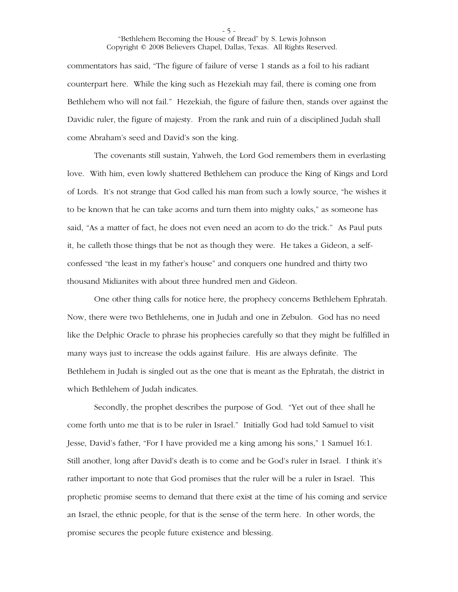commentators has said, "The figure of failure of verse 1 stands as a foil to his radiant counterpart here. While the king such as Hezekiah may fail, there is coming one from Bethlehem who will not fail." Hezekiah, the figure of failure then, stands over against the Davidic ruler, the figure of majesty. From the rank and ruin of a disciplined Judah shall come Abraham's seed and David's son the king.

 The covenants still sustain, Yahweh, the Lord God remembers them in everlasting love. With him, even lowly shattered Bethlehem can produce the King of Kings and Lord of Lords. It's not strange that God called his man from such a lowly source, "he wishes it to be known that he can take acorns and turn them into mighty oaks," as someone has said, "As a matter of fact, he does not even need an acorn to do the trick." As Paul puts it, he calleth those things that be not as though they were. He takes a Gideon, a selfconfessed "the least in my father's house" and conquers one hundred and thirty two thousand Midianites with about three hundred men and Gideon.

 One other thing calls for notice here, the prophecy concerns Bethlehem Ephratah. Now, there were two Bethlehems, one in Judah and one in Zebulon. God has no need like the Delphic Oracle to phrase his prophecies carefully so that they might be fulfilled in many ways just to increase the odds against failure. His are always definite. The Bethlehem in Judah is singled out as the one that is meant as the Ephratah, the district in which Bethlehem of Judah indicates.

 Secondly, the prophet describes the purpose of God. "Yet out of thee shall he come forth unto me that is to be ruler in Israel." Initially God had told Samuel to visit Jesse, David's father, "For I have provided me a king among his sons," 1 Samuel 16:1. Still another, long after David's death is to come and be God's ruler in Israel. I think it's rather important to note that God promises that the ruler will be a ruler in Israel. This prophetic promise seems to demand that there exist at the time of his coming and service an Israel, the ethnic people, for that is the sense of the term here. In other words, the promise secures the people future existence and blessing.

- 5 -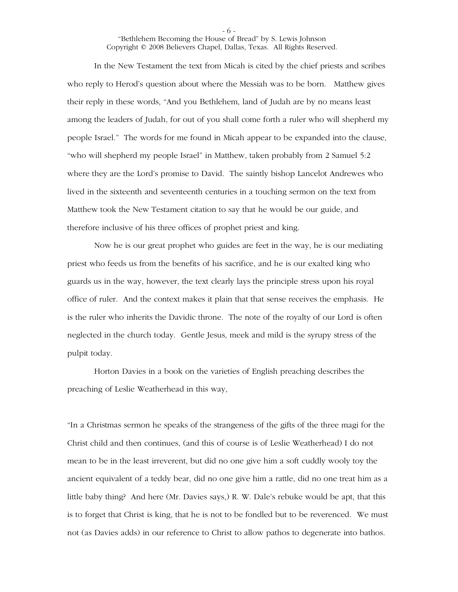In the New Testament the text from Micah is cited by the chief priests and scribes who reply to Herod's question about where the Messiah was to be born. Matthew gives their reply in these words, "And you Bethlehem, land of Judah are by no means least among the leaders of Judah, for out of you shall come forth a ruler who will shepherd my people Israel." The words for me found in Micah appear to be expanded into the clause, "who will shepherd my people Israel" in Matthew, taken probably from 2 Samuel 5:2 where they are the Lord's promise to David. The saintly bishop Lancelot Andrewes who lived in the sixteenth and seventeenth centuries in a touching sermon on the text from Matthew took the New Testament citation to say that he would be our guide, and therefore inclusive of his three offices of prophet priest and king.

 Now he is our great prophet who guides are feet in the way, he is our mediating priest who feeds us from the benefits of his sacrifice, and he is our exalted king who guards us in the way, however, the text clearly lays the principle stress upon his royal office of ruler. And the context makes it plain that that sense receives the emphasis. He is the ruler who inherits the Davidic throne. The note of the royalty of our Lord is often neglected in the church today. Gentle Jesus, meek and mild is the syrupy stress of the pulpit today.

 Horton Davies in a book on the varieties of English preaching describes the preaching of Leslie Weatherhead in this way,

"In a Christmas sermon he speaks of the strangeness of the gifts of the three magi for the Christ child and then continues, (and this of course is of Leslie Weatherhead) I do not mean to be in the least irreverent, but did no one give him a soft cuddly wooly toy the ancient equivalent of a teddy bear, did no one give him a rattle, did no one treat him as a little baby thing? And here (Mr. Davies says,) R. W. Dale's rebuke would be apt, that this is to forget that Christ is king, that he is not to be fondled but to be reverenced. We must not (as Davies adds) in our reference to Christ to allow pathos to degenerate into bathos.

- 6 -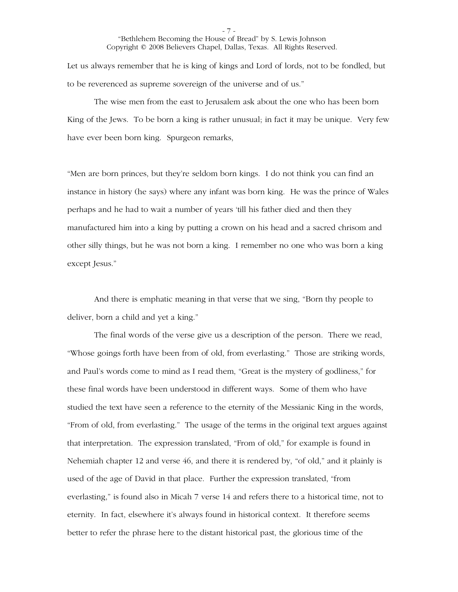Let us always remember that he is king of kings and Lord of lords, not to be fondled, but to be reverenced as supreme sovereign of the universe and of us."

 The wise men from the east to Jerusalem ask about the one who has been born King of the Jews. To be born a king is rather unusual; in fact it may be unique. Very few have ever been born king. Spurgeon remarks,

"Men are born princes, but they're seldom born kings. I do not think you can find an instance in history (he says) where any infant was born king. He was the prince of Wales perhaps and he had to wait a number of years 'till his father died and then they manufactured him into a king by putting a crown on his head and a sacred chrisom and other silly things, but he was not born a king. I remember no one who was born a king except Jesus."

 And there is emphatic meaning in that verse that we sing, "Born thy people to deliver, born a child and yet a king."

 The final words of the verse give us a description of the person. There we read, "Whose goings forth have been from of old, from everlasting." Those are striking words, and Paul's words come to mind as I read them, "Great is the mystery of godliness," for these final words have been understood in different ways. Some of them who have studied the text have seen a reference to the eternity of the Messianic King in the words, "From of old, from everlasting." The usage of the terms in the original text argues against that interpretation. The expression translated, "From of old," for example is found in Nehemiah chapter 12 and verse 46, and there it is rendered by, "of old," and it plainly is used of the age of David in that place. Further the expression translated, "from everlasting," is found also in Micah 7 verse 14 and refers there to a historical time, not to eternity. In fact, elsewhere it's always found in historical context. It therefore seems better to refer the phrase here to the distant historical past, the glorious time of the

- 7 -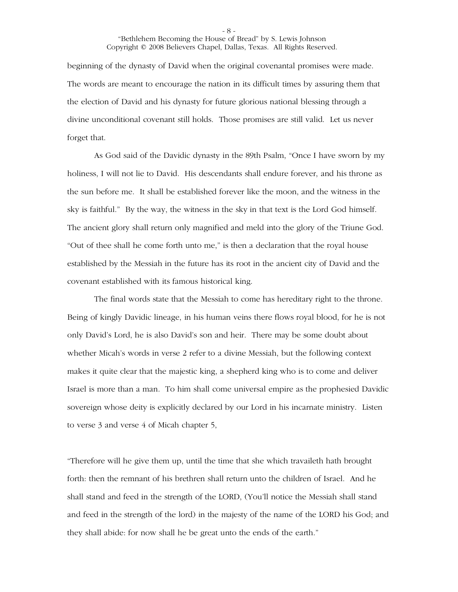beginning of the dynasty of David when the original covenantal promises were made. The words are meant to encourage the nation in its difficult times by assuring them that the election of David and his dynasty for future glorious national blessing through a divine unconditional covenant still holds. Those promises are still valid. Let us never forget that.

 As God said of the Davidic dynasty in the 89th Psalm, "Once I have sworn by my holiness, I will not lie to David. His descendants shall endure forever, and his throne as the sun before me. It shall be established forever like the moon, and the witness in the sky is faithful." By the way, the witness in the sky in that text is the Lord God himself. The ancient glory shall return only magnified and meld into the glory of the Triune God. "Out of thee shall he come forth unto me," is then a declaration that the royal house established by the Messiah in the future has its root in the ancient city of David and the covenant established with its famous historical king.

 The final words state that the Messiah to come has hereditary right to the throne. Being of kingly Davidic lineage, in his human veins there flows royal blood, for he is not only David's Lord, he is also David's son and heir. There may be some doubt about whether Micah's words in verse 2 refer to a divine Messiah, but the following context makes it quite clear that the majestic king, a shepherd king who is to come and deliver Israel is more than a man. To him shall come universal empire as the prophesied Davidic sovereign whose deity is explicitly declared by our Lord in his incarnate ministry. Listen to verse 3 and verse 4 of Micah chapter 5,

"Therefore will he give them up, until the time that she which travaileth hath brought forth: then the remnant of his brethren shall return unto the children of Israel. And he shall stand and feed in the strength of the LORD, (You'll notice the Messiah shall stand and feed in the strength of the lord) in the majesty of the name of the LORD his God; and they shall abide: for now shall he be great unto the ends of the earth."

- 8 -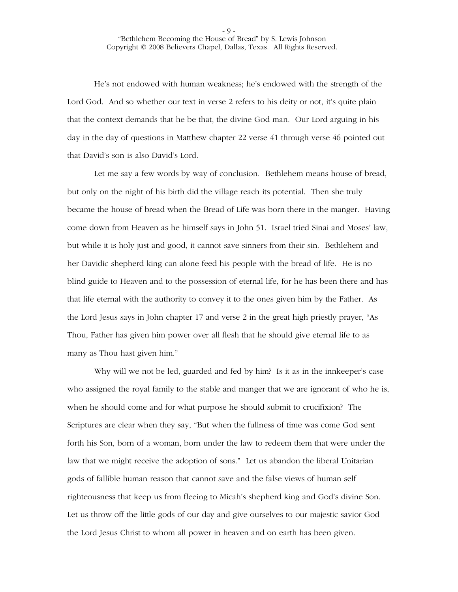He's not endowed with human weakness; he's endowed with the strength of the Lord God. And so whether our text in verse 2 refers to his deity or not, it's quite plain that the context demands that he be that, the divine God man. Our Lord arguing in his day in the day of questions in Matthew chapter 22 verse 41 through verse 46 pointed out that David's son is also David's Lord.

 Let me say a few words by way of conclusion. Bethlehem means house of bread, but only on the night of his birth did the village reach its potential. Then she truly became the house of bread when the Bread of Life was born there in the manger. Having come down from Heaven as he himself says in John 51. Israel tried Sinai and Moses' law, but while it is holy just and good, it cannot save sinners from their sin. Bethlehem and her Davidic shepherd king can alone feed his people with the bread of life. He is no blind guide to Heaven and to the possession of eternal life, for he has been there and has that life eternal with the authority to convey it to the ones given him by the Father. As the Lord Jesus says in John chapter 17 and verse 2 in the great high priestly prayer, "As Thou, Father has given him power over all flesh that he should give eternal life to as many as Thou hast given him."

 Why will we not be led, guarded and fed by him? Is it as in the innkeeper's case who assigned the royal family to the stable and manger that we are ignorant of who he is, when he should come and for what purpose he should submit to crucifixion? The Scriptures are clear when they say, "But when the fullness of time was come God sent forth his Son, born of a woman, born under the law to redeem them that were under the law that we might receive the adoption of sons." Let us abandon the liberal Unitarian gods of fallible human reason that cannot save and the false views of human self righteousness that keep us from fleeing to Micah's shepherd king and God's divine Son. Let us throw off the little gods of our day and give ourselves to our majestic savior God the Lord Jesus Christ to whom all power in heaven and on earth has been given.

- 9 -